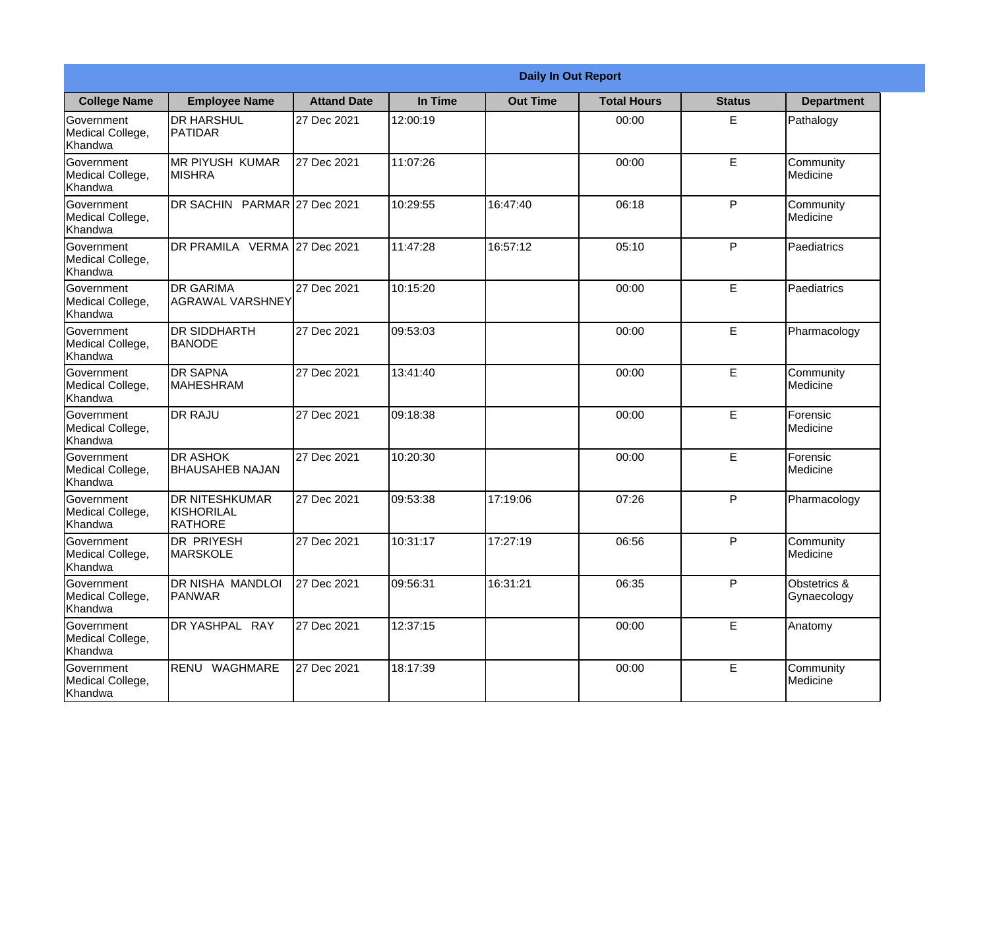|                                                  | <b>Daily In Out Report</b>                     |                    |          |                 |                    |               |                             |
|--------------------------------------------------|------------------------------------------------|--------------------|----------|-----------------|--------------------|---------------|-----------------------------|
| <b>College Name</b>                              | <b>Employee Name</b>                           | <b>Attand Date</b> | In Time  | <b>Out Time</b> | <b>Total Hours</b> | <b>Status</b> | <b>Department</b>           |
| Government<br>Medical College,<br>Khandwa        | <b>DR HARSHUL</b><br>PATIDAR                   | 27 Dec 2021        | 12:00:19 |                 | 00:00              | E             | Pathalogy                   |
| Government<br>Medical College,<br>Khandwa        | <b>MR PIYUSH KUMAR</b><br>MISHRA               | 27 Dec 2021        | 11:07:26 |                 | 00:00              | E             | Community<br>Medicine       |
| Government<br>Medical College,<br>Khandwa        | DR SACHIN PARMAR 27 Dec 2021                   |                    | 10:29:55 | 16:47:40        | 06:18              | $\mathsf{P}$  | Community<br>Medicine       |
| Government<br>Medical College,<br>Khandwa        | DR PRAMILA VERMA                               | 27 Dec 2021        | 11:47:28 | 16:57:12        | 05:10              | P             | Paediatrics                 |
| Government<br>Medical College,<br>Khandwa        | <b>DR GARIMA</b><br><b>AGRAWAL VARSHNEY</b>    | 27 Dec 2021        | 10:15:20 |                 | 00:00              | E             | Paediatrics                 |
| Government<br>Medical College,<br>Khandwa        | <b>DR SIDDHARTH</b><br><b>BANODE</b>           | 27 Dec 2021        | 09:53:03 |                 | 00:00              | E             | Pharmacology                |
| Government<br>Medical College,<br>Khandwa        | <b>DR SAPNA</b><br><b>MAHESHRAM</b>            | 27 Dec 2021        | 13:41:40 |                 | 00:00              | E             | Community<br>Medicine       |
| Government<br>Medical College,<br>Khandwa        | <b>DR RAJU</b>                                 | 27 Dec 2021        | 09:18:38 |                 | 00:00              | E             | Forensic<br>Medicine        |
| <b>Government</b><br>Medical College,<br>Khandwa | <b>DR ASHOK</b><br><b>BHAUSAHEB NAJAN</b>      | 27 Dec 2021        | 10:20:30 |                 | 00:00              | E             | Forensic<br>Medicine        |
| Government<br>Medical College,<br>Khandwa        | <b>DR NITESHKUMAR</b><br>KISHORILAL<br>RATHORE | 27 Dec 2021        | 09:53:38 | 17:19:06        | 07:26              | P             | Pharmacology                |
| Government<br>Medical College,<br>Khandwa        | <b>DR PRIYESH</b><br><b>MARSKOLE</b>           | 27 Dec 2021        | 10:31:17 | 17:27:19        | 06:56              | $\mathsf{P}$  | Community<br>Medicine       |
| Government<br>Medical College,<br>Khandwa        | DR NISHA MANDLOI<br><b>PANWAR</b>              | 27 Dec 2021        | 09:56:31 | 16:31:21        | 06:35              | P             | Obstetrics &<br>Gynaecology |
| Government<br>Medical College,<br>Khandwa        | DR YASHPAL RAY                                 | 27 Dec 2021        | 12:37:15 |                 | 00:00              | E             | Anatomy                     |
| Government<br>Medical College,<br>Khandwa        | RENU WAGHMARE                                  | 27 Dec 2021        | 18:17:39 |                 | 00:00              | E             | Community<br>Medicine       |